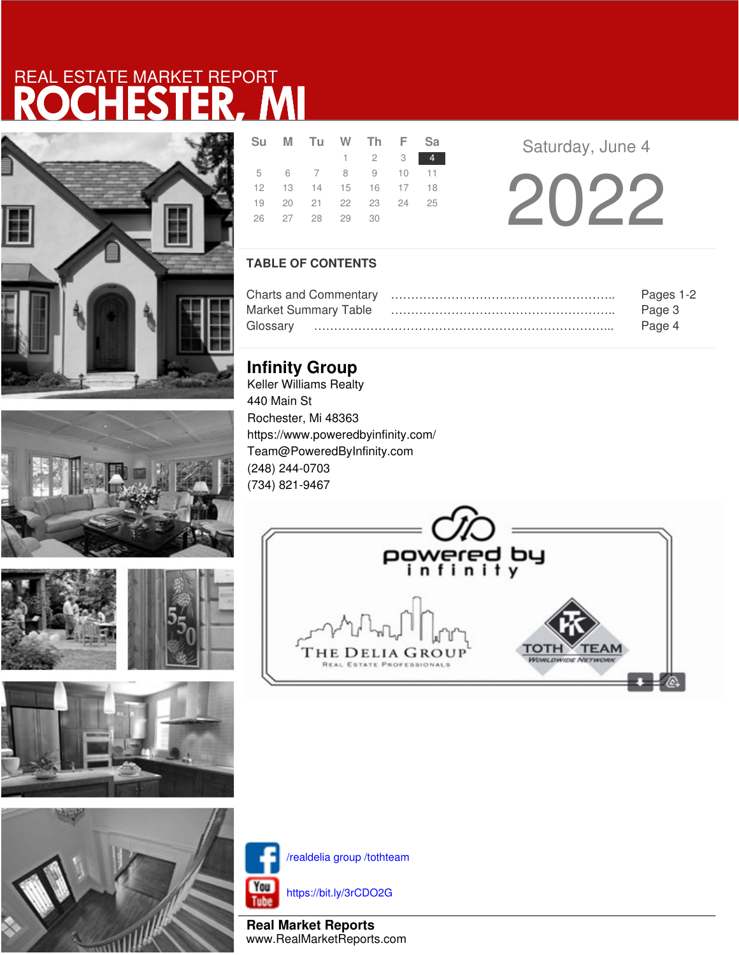



**SALES** 







|  |  | 26 27 28 29 30 | Su M Tu W Th F Sa<br>$1 \quad 2 \quad 3 \quad 4$<br>5 6 7 8 9 10 11<br>12  13  14  15  16  17  18<br>19 20 21 22 23 24 25 |  |
|--|--|----------------|---------------------------------------------------------------------------------------------------------------------------|--|

**Saturday, June 4** 

2022

### **TABLE OF CONTENTS**

|                             | Pages 1-2 |
|-----------------------------|-----------|
| <b>Market Summary Table</b> | Page 3    |
|                             | Page 4    |

## **Infinity Group**

Keller Williams Realty 440 Main St Rochester, Mi 48363 https://www.poweredbyinfinity.com/ Team@PoweredByInfinity.com (248) 244-0703 (734) 821-9467





/realdelia group /tothteam

https://bit.ly/3rCDO2G

**Real Market Reports** www.RealMarketReports.com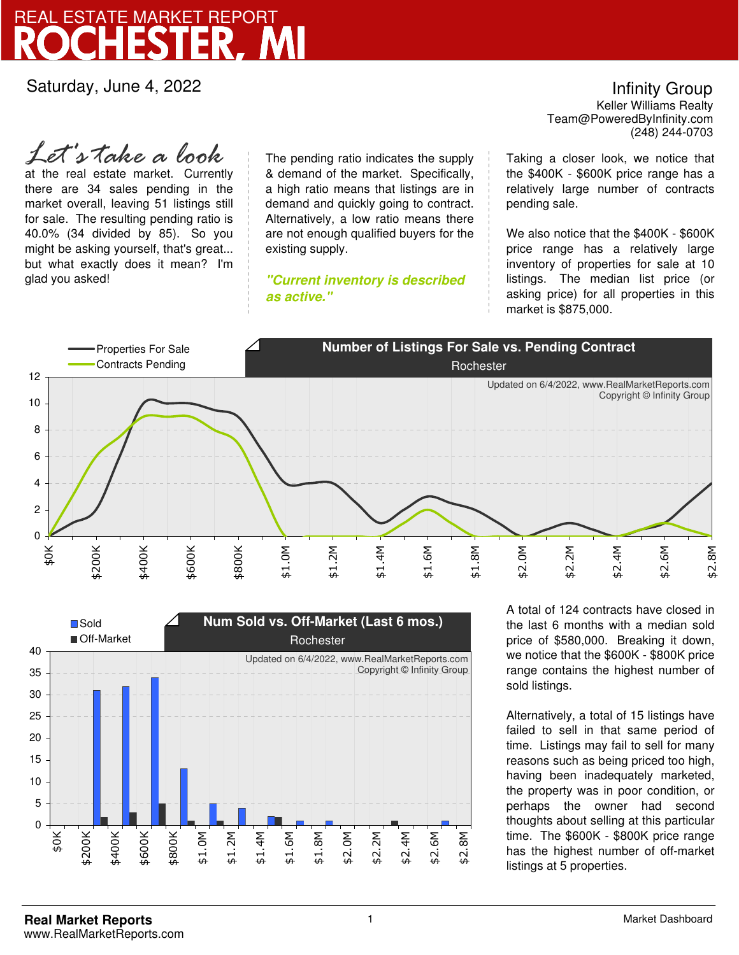Saturday, June 4, 2022

at the real estate market. Currently there are 34 sales pending in the market overall, leaving 51 listings still for sale. The resulting pending ratio is 40.0% (34 divided by 85). So you might be asking yourself, that's great... but what exactly does it mean? I'm glad you asked! *Let's take a look*

The pending ratio indicates the supply & demand of the market. Specifically, a high ratio means that listings are in demand and quickly going to contract. Alternatively, a low ratio means there are not enough qualified buyers for the existing supply.

**"Current inventory is described as active."**

Team@PoweredByInfinity.com Infinity Group Keller Williams Realty (248) 244-0703

Taking a closer look, we notice that the \$400K - \$600K price range has a relatively large number of contracts pending sale.

We also notice that the \$400K - \$600K price range has a relatively large inventory of properties for sale at 10 listings. The median list price (or asking price) for all properties in this market is \$875,000.





A total of 124 contracts have closed in the last 6 months with a median sold price of \$580,000. Breaking it down, we notice that the \$600K - \$800K price range contains the highest number of sold listings.

Alternatively, a total of 15 listings have failed to sell in that same period of time. Listings may fail to sell for many reasons such as being priced too high, having been inadequately marketed, the property was in poor condition, or perhaps the owner had second thoughts about selling at this particular time. The \$600K - \$800K price range has the highest number of off-market listings at 5 properties.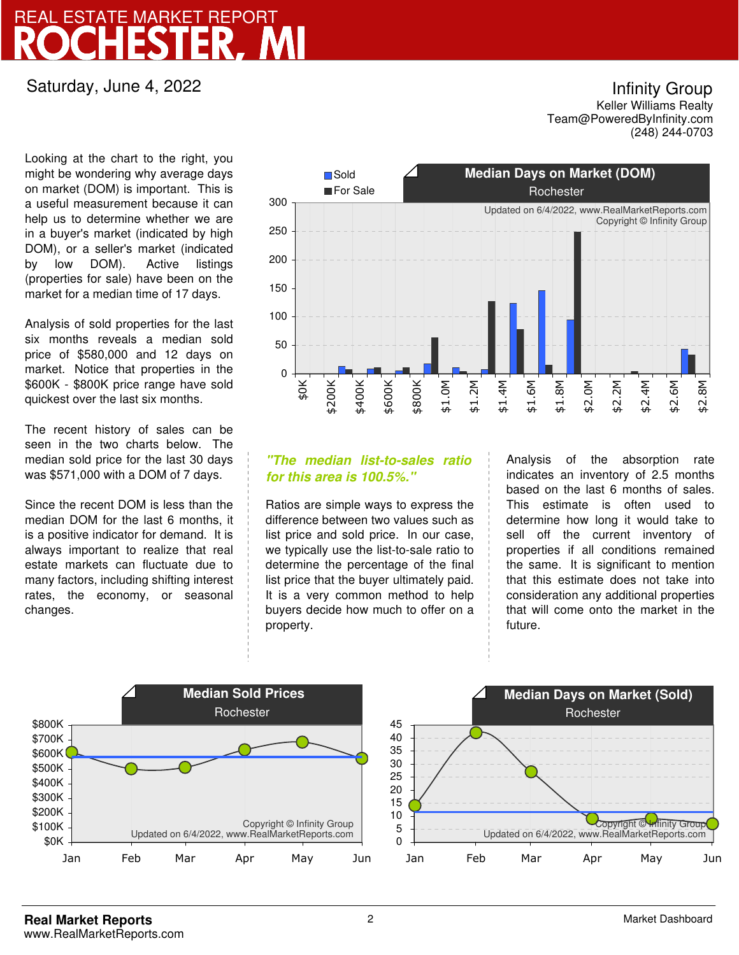### Saturday, June 4, 2022

Looking at the chart to the right, you might be wondering why average days on market (DOM) is important. This is a useful measurement because it can help us to determine whether we are in a buyer's market (indicated by high DOM), or a seller's market (indicated by low DOM). Active listings (properties for sale) have been on the market for a median time of 17 days.

Analysis of sold properties for the last six months reveals a median sold price of \$580,000 and 12 days on market. Notice that properties in the \$600K - \$800K price range have sold quickest over the last six months.

The recent history of sales can be seen in the two charts below. The median sold price for the last 30 days was \$571,000 with a DOM of 7 days.

Since the recent DOM is less than the median DOM for the last 6 months, it is a positive indicator for demand. It is always important to realize that real estate markets can fluctuate due to many factors, including shifting interest rates, the economy, or seasonal changes.



### **"The median list-to-sales ratio for this area is 100.5%."**

Ratios are simple ways to express the difference between two values such as list price and sold price. In our case, we typically use the list-to-sale ratio to determine the percentage of the final list price that the buyer ultimately paid. It is a very common method to help buyers decide how much to offer on a property.

Analysis of the absorption rate indicates an inventory of 2.5 months based on the last 6 months of sales. This estimate is often used to determine how long it would take to sell off the current inventory of properties if all conditions remained the same. It is significant to mention that this estimate does not take into consideration any additional properties that will come onto the market in the future.



Team@PoweredByInfinity.com Infinity Group Keller Williams Realty (248) 244-0703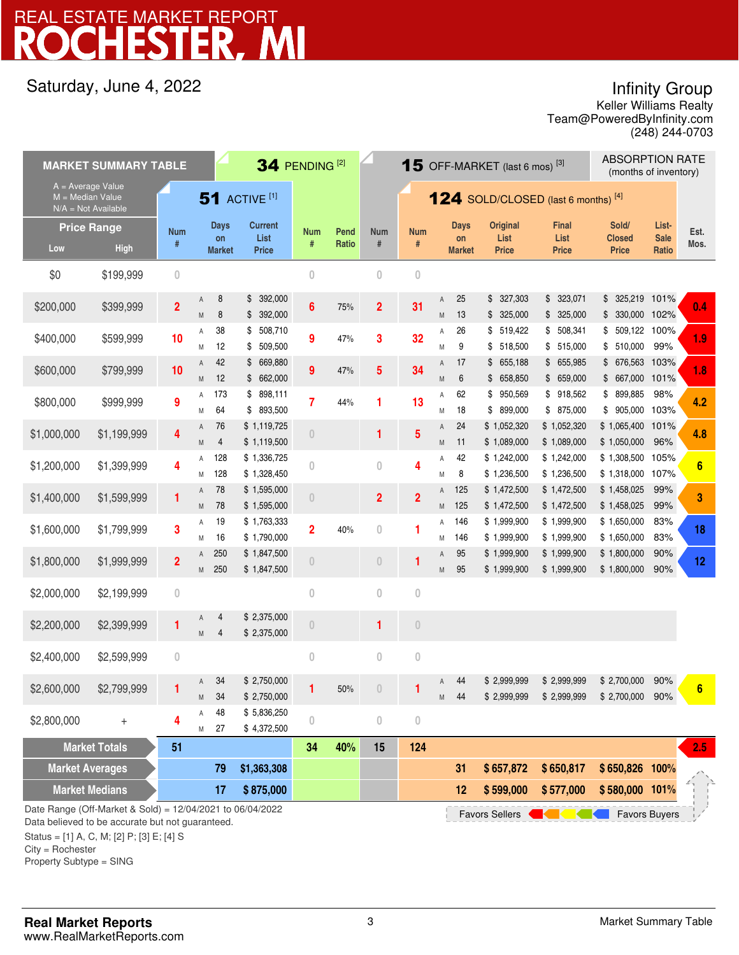## Saturday, June 4, 2022

Infinity Group

Team@PoweredByInfinity.com Keller Williams Realty (248) 244-0703

| <b>MARKET SUMMARY TABLE</b>                                                                                                                                    |                                          |                         |                                    |                                        | 34 PENDING <sup>[2]</sup><br><b>15</b> OFF-MARKET (last 6 mos) <sup>[3]</sup> |               |                                              |                  | <b>ABSORPTION RATE</b><br>(months of inventory) |                                    |                                         |                                      |                                        |                               |                 |
|----------------------------------------------------------------------------------------------------------------------------------------------------------------|------------------------------------------|-------------------------|------------------------------------|----------------------------------------|-------------------------------------------------------------------------------|---------------|----------------------------------------------|------------------|-------------------------------------------------|------------------------------------|-----------------------------------------|--------------------------------------|----------------------------------------|-------------------------------|-----------------|
| $A = Average Value$<br>M = Median Value<br>$N/A = Not Available$                                                                                               |                                          |                         |                                    | <b>51 ACTIVE [1]</b>                   |                                                                               |               | <b>124</b> SOLD/CLOSED (last 6 months) $[4]$ |                  |                                                 |                                    |                                         |                                      |                                        |                               |                 |
| Low                                                                                                                                                            | <b>Price Range</b><br><b>High</b>        | <b>Num</b><br>#         | <b>Days</b><br>on<br><b>Market</b> | <b>Current</b><br>List<br><b>Price</b> | <b>Num</b><br>#                                                               | Pend<br>Ratio | <b>Num</b><br>$\#$                           | <b>Num</b><br>#  |                                                 | <b>Days</b><br>on<br><b>Market</b> | <b>Original</b><br>List<br><b>Price</b> | <b>Final</b><br>List<br><b>Price</b> | Sold/<br><b>Closed</b><br><b>Price</b> | List-<br><b>Sale</b><br>Ratio | Est.<br>Mos.    |
| \$0                                                                                                                                                            | \$199,999                                | $\mathbf{0}$            |                                    |                                        | $\mathbf{0}$                                                                  |               | $\overline{0}$                               | $\overline{0}$   |                                                 |                                    |                                         |                                      |                                        |                               |                 |
| \$200,000                                                                                                                                                      | \$399,999                                | $\overline{\mathbf{2}}$ | 8<br>Α<br>8<br>M                   | 392,000<br>\$<br>392,000<br>\$         | $6\phantom{1}6$                                                               | 75%           | $\overline{2}$                               | 31               | Α<br>M                                          | 25<br>13                           | \$327,303<br>\$325,000                  | \$323,071<br>\$325,000               | \$ 325,219 101%<br>\$ 330,000 102%     |                               | 0.4             |
| \$400,000                                                                                                                                                      | \$599,999                                | 10                      | 38<br>Α<br>12<br>M                 | 508,710<br>\$<br>509,500<br>\$         | 9                                                                             | 47%           | 3                                            | 32               | Α<br>M                                          | 26<br>9                            | \$519,422<br>\$518,500                  | \$508,341<br>\$515,000               | 509,122 100%<br>\$<br>\$510,000        | 99%                           | 1.9             |
| \$600,000                                                                                                                                                      | \$799,999                                | 10                      | 42<br>Α<br>12<br>M                 | \$669,880<br>\$662,000                 | 9                                                                             | 47%           | 5                                            | 34               | Α<br>M                                          | 17<br>6                            | \$655,188<br>\$658,850                  | \$655,985<br>\$659,000               | \$ 676,563 103%<br>\$ 667,000 101%     |                               | 1.8             |
| \$800,000                                                                                                                                                      | \$999,999                                | 9                       | 173<br>Α<br>64<br>Μ                | 898,111<br>\$<br>\$ 893,500            | 7                                                                             | 44%           | 1                                            | 13               | Α<br>M                                          | 62<br>18                           | \$950,569<br>\$899,000                  | \$918,562<br>\$ 875,000              | \$899,885<br>\$905,000 103%            | 98%                           | 4.2             |
| \$1,000,000                                                                                                                                                    | \$1,199,999                              | 4                       | 76<br>Α<br>4<br>M                  | \$1,119,725<br>\$1,119,500             | $\theta$                                                                      |               | 1                                            | 5                | Α<br>M                                          | 24<br>11                           | \$1,052,320<br>\$1,089,000              | \$1,052,320<br>\$1,089,000           | \$1,065,400<br>\$1,050,000             | 101%<br>96%                   | 4.8             |
| \$1,200,000                                                                                                                                                    | \$1,399,999                              | 4                       | 128<br>Α<br>128<br>Μ               | \$1,336,725<br>\$1,328,450             | $\theta$                                                                      |               | $\bf{0}$                                     | 4                | Α<br>M                                          | 42<br>8                            | \$1,242,000<br>\$1,236,500              | \$1,242,000<br>\$1,236,500           | \$1,308,500 105%<br>\$1,318,000 107%   |                               | $6\phantom{1}6$ |
| \$1,400,000                                                                                                                                                    | \$1,599,999                              | 1                       | 78<br>A<br>78<br>M                 | \$1,595,000<br>\$1,595,000             | $\theta$                                                                      |               | $\overline{2}$                               | $\overline{2}$   | A<br>M                                          | 125<br>125                         | \$1,472,500<br>\$1,472,500              | \$1,472,500<br>\$1,472,500           | \$1,458,025<br>\$1,458,025             | 99%<br>99%                    | 3               |
| \$1,600,000                                                                                                                                                    | \$1,799,999                              | 3                       | 19<br>Α<br>16<br>Μ                 | \$1,763,333<br>\$1,790,000             | $\overline{2}$                                                                | 40%           | $\bf{0}$                                     | 1                | Α<br>Μ                                          | 146<br>146                         | \$1,999,900<br>\$1,999,900              | \$1,999,900<br>\$1,999,900           | \$1,650,000<br>\$1,650,000             | 83%<br>83%                    | 18              |
| \$1,800,000                                                                                                                                                    | \$1,999,999                              | $\overline{2}$          | 250<br>Α<br>250<br>M               | \$1,847,500<br>\$1,847,500             | $\theta$                                                                      |               | $\overline{0}$                               | 1                | Α<br>M                                          | 95<br>95                           | \$1,999,900<br>\$1,999,900              | \$1,999,900<br>\$1,999,900           | \$1,800,000<br>\$1,800,000             | 90%<br>90%                    | 12              |
| \$2,000,000                                                                                                                                                    | \$2,199,999                              | $\mathbf{0}$            |                                    |                                        | $\bf{0}$                                                                      |               | $\bf{0}$                                     | $\bf{0}$         |                                                 |                                    |                                         |                                      |                                        |                               |                 |
| \$2,200,000                                                                                                                                                    | \$2,399,999                              | 1                       | 4<br>Α<br>M<br>4                   | \$2,375,000<br>\$2,375,000             | $\theta$                                                                      |               | 1                                            | $\theta$         |                                                 |                                    |                                         |                                      |                                        |                               |                 |
| \$2,400,000                                                                                                                                                    | \$2,599,999                              | $\boldsymbol{0}$        |                                    |                                        | $\bf{0}$                                                                      |               | $\bf{0}$                                     | $\boldsymbol{0}$ |                                                 |                                    |                                         |                                      |                                        |                               |                 |
| \$2,600,000                                                                                                                                                    | \$2,799,999                              |                         | 34<br>Α<br>34<br>Μ                 | \$2,750,000<br>\$2,750,000             |                                                                               | 50%           | 0                                            |                  | Α                                               | 44<br>M 44                         | \$2,999,999<br>\$2,999,999              | \$2,999,999<br>\$2,999,999           | \$2,700,000<br>\$2,700,000 90%         | 90%                           | 6               |
| \$2,800,000                                                                                                                                                    | $^{+}$                                   | 4                       | 48<br>А<br>27<br>Μ                 | \$5,836,250<br>\$4,372,500             | $\theta$                                                                      |               | $\bf{0}$                                     | $\bf{0}$         |                                                 |                                    |                                         |                                      |                                        |                               |                 |
| <b>Market Totals</b><br>51                                                                                                                                     |                                          |                         |                                    |                                        | 34                                                                            | 40%           | 15                                           | 124              |                                                 |                                    |                                         |                                      |                                        |                               | 2.5             |
| <b>Market Averages</b>                                                                                                                                         |                                          |                         | 79                                 | \$1,363,308                            |                                                                               |               |                                              |                  |                                                 | 31                                 | \$657,872                               | \$650,817                            | \$650,826 100%                         |                               |                 |
|                                                                                                                                                                | <b>Market Medians</b><br>\$875,000<br>17 |                         |                                    |                                        |                                                                               | 12            | \$599,000                                    | \$577,000        | \$580,000 101%                                  |                                    |                                         |                                      |                                        |                               |                 |
| Date Range (Off-Market & Sold) = 12/04/2021 to 06/04/2022<br><b>Favors Buyers</b><br><b>Favors Sellers</b><br>Data believed to be accurate but not guaranteed. |                                          |                         |                                    |                                        |                                                                               |               |                                              |                  |                                                 |                                    |                                         |                                      |                                        |                               |                 |

Status = [1] A, C, M; [2] P; [3] E; [4] S

City = Rochester Property Subtype = SING